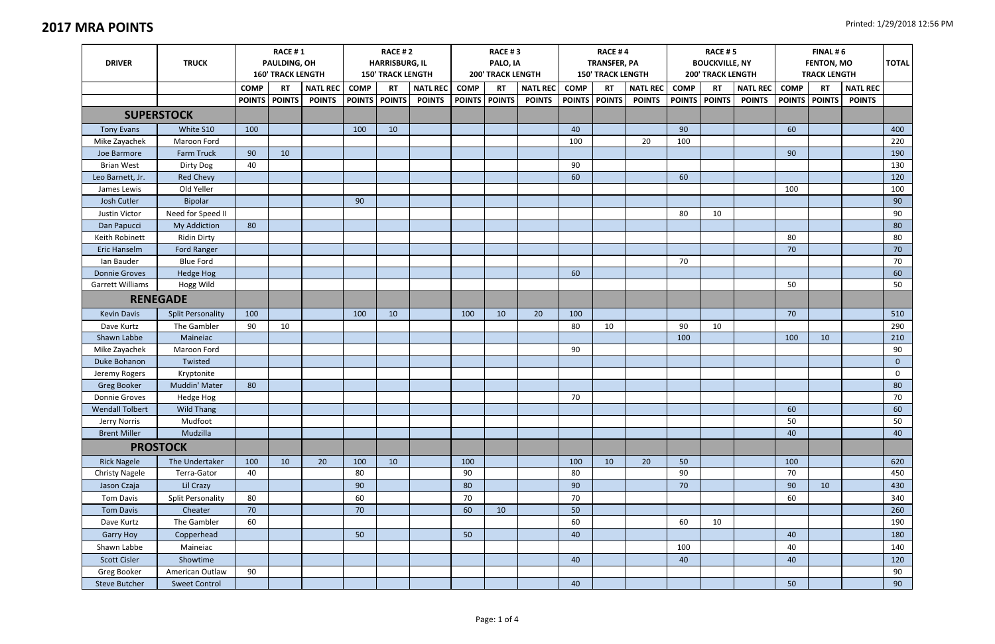| <b>DRIVER</b>          | <b>TRUCK</b>             | <b>RACE #1</b><br>PAULDING, OH<br><b>160' TRACK LENGTH</b> |           |                 | <b>RACE #2</b><br><b>HARRISBURG, IL</b><br><b>150' TRACK LENGTH</b> |               |                 | <b>RACE #3</b><br>PALO, IA<br><b>200' TRACK LENGTH</b> |                 |                 | <b>RACE #4</b><br><b>TRANSFER, PA</b><br><b>150' TRACK LENGTH</b> |               |                 | <b>RACE #5</b><br><b>BOUCKVILLE, NY</b><br><b>200' TRACK LENGTH</b> |           |                 | FINAL #6<br><b>FENTON, MO</b><br><b>TRACK LENGTH</b> |               |                 | <b>TOTAL</b> |
|------------------------|--------------------------|------------------------------------------------------------|-----------|-----------------|---------------------------------------------------------------------|---------------|-----------------|--------------------------------------------------------|-----------------|-----------------|-------------------------------------------------------------------|---------------|-----------------|---------------------------------------------------------------------|-----------|-----------------|------------------------------------------------------|---------------|-----------------|--------------|
|                        |                          | <b>COMP</b>                                                | <b>RT</b> | <b>NATL REC</b> | <b>COMP</b>                                                         | <b>RT</b>     | <b>NATL REC</b> | <b>COMP</b>                                            | <b>RT</b>       | <b>NATL REC</b> | <b>COMP</b>                                                       | <b>RT</b>     | <b>NATL REC</b> | <b>COMP</b>                                                         | <b>RT</b> | <b>NATL REC</b> | <b>COMP</b>                                          | <b>RT</b>     | <b>NATL REC</b> |              |
|                        |                          | POINTS   POINTS                                            |           | <b>POINTS</b>   | <b>POINTS</b>                                                       | <b>POINTS</b> | <b>POINTS</b>   |                                                        | POINTS   POINTS | <b>POINTS</b>   | <b>POINTS</b>                                                     | <b>POINTS</b> | <b>POINTS</b>   | POINTS POINTS                                                       |           | <b>POINTS</b>   | <b>POINTS</b>                                        | <b>POINTS</b> | <b>POINTS</b>   |              |
|                        | <b>SUPERSTOCK</b>        |                                                            |           |                 |                                                                     |               |                 |                                                        |                 |                 |                                                                   |               |                 |                                                                     |           |                 |                                                      |               |                 |              |
| <b>Tony Evans</b>      | White S10                | 100                                                        |           |                 | 100                                                                 | 10            |                 |                                                        |                 |                 | 40                                                                |               |                 | 90                                                                  |           |                 | 60                                                   |               |                 | 400          |
| Mike Zayachek          | Maroon Ford              |                                                            |           |                 |                                                                     |               |                 |                                                        |                 |                 | 100                                                               |               | 20              | 100                                                                 |           |                 |                                                      |               |                 | 220          |
| Joe Barmore            | <b>Farm Truck</b>        | 90                                                         | 10        |                 |                                                                     |               |                 |                                                        |                 |                 |                                                                   |               |                 |                                                                     |           |                 | 90                                                   |               |                 | 190          |
| <b>Brian West</b>      | Dirty Dog                | 40                                                         |           |                 |                                                                     |               |                 |                                                        |                 |                 | 90                                                                |               |                 |                                                                     |           |                 |                                                      |               |                 | 130          |
| Leo Barnett, Jr.       | Red Chevy                |                                                            |           |                 |                                                                     |               |                 |                                                        |                 |                 | 60                                                                |               |                 | 60                                                                  |           |                 |                                                      |               |                 | 120          |
| James Lewis            | Old Yeller               |                                                            |           |                 |                                                                     |               |                 |                                                        |                 |                 |                                                                   |               |                 |                                                                     |           |                 | 100                                                  |               |                 | 100          |
| Josh Cutler            | <b>Bipolar</b>           |                                                            |           |                 | 90                                                                  |               |                 |                                                        |                 |                 |                                                                   |               |                 |                                                                     |           |                 |                                                      |               |                 | 90           |
| Justin Victor          | Need for Speed II        |                                                            |           |                 |                                                                     |               |                 |                                                        |                 |                 |                                                                   |               |                 | 80                                                                  | 10        |                 |                                                      |               |                 | 90           |
| Dan Papucci            | My Addiction             | 80                                                         |           |                 |                                                                     |               |                 |                                                        |                 |                 |                                                                   |               |                 |                                                                     |           |                 |                                                      |               |                 | 80           |
| Keith Robinett         | <b>Ridin Dirty</b>       |                                                            |           |                 |                                                                     |               |                 |                                                        |                 |                 |                                                                   |               |                 |                                                                     |           |                 | 80                                                   |               |                 | 80           |
| Eric Hanselm           | Ford Ranger              |                                                            |           |                 |                                                                     |               |                 |                                                        |                 |                 |                                                                   |               |                 |                                                                     |           |                 | 70                                                   |               |                 | 70           |
| Ian Bauder             | <b>Blue Ford</b>         |                                                            |           |                 |                                                                     |               |                 |                                                        |                 |                 |                                                                   |               |                 | 70                                                                  |           |                 |                                                      |               |                 | 70           |
| <b>Donnie Groves</b>   | Hedge Hog                |                                                            |           |                 |                                                                     |               |                 |                                                        |                 |                 | 60                                                                |               |                 |                                                                     |           |                 |                                                      |               |                 | 60           |
| Garrett Williams       | Hogg Wild                |                                                            |           |                 |                                                                     |               |                 |                                                        |                 |                 |                                                                   |               |                 |                                                                     |           |                 | 50                                                   |               |                 | 50           |
| <b>RENEGADE</b>        |                          |                                                            |           |                 |                                                                     |               |                 |                                                        |                 |                 |                                                                   |               |                 |                                                                     |           |                 |                                                      |               |                 |              |
| <b>Kevin Davis</b>     | <b>Split Personality</b> | 100                                                        |           |                 | 100                                                                 | 10            |                 | 100                                                    | 10              | 20              | 100                                                               |               |                 |                                                                     |           |                 | 70                                                   |               |                 | 510          |
| Dave Kurtz             | The Gambler              | 90                                                         | 10        |                 |                                                                     |               |                 |                                                        |                 |                 | 80                                                                | 10            |                 | 90                                                                  | 10        |                 |                                                      |               |                 | 290          |
| Shawn Labbe            | Maineiac                 |                                                            |           |                 |                                                                     |               |                 |                                                        |                 |                 |                                                                   |               |                 | 100                                                                 |           |                 | 100                                                  | 10            |                 | 210          |
| Mike Zayachek          | Maroon Ford              |                                                            |           |                 |                                                                     |               |                 |                                                        |                 |                 | 90                                                                |               |                 |                                                                     |           |                 |                                                      |               |                 | 90           |
| Duke Bohanon           | Twisted                  |                                                            |           |                 |                                                                     |               |                 |                                                        |                 |                 |                                                                   |               |                 |                                                                     |           |                 |                                                      |               |                 | $\mathbf{0}$ |
| Jeremy Rogers          | Kryptonite               |                                                            |           |                 |                                                                     |               |                 |                                                        |                 |                 |                                                                   |               |                 |                                                                     |           |                 |                                                      |               |                 | $\mathbf 0$  |
| Greg Booker            | Muddin' Mater            | 80                                                         |           |                 |                                                                     |               |                 |                                                        |                 |                 |                                                                   |               |                 |                                                                     |           |                 |                                                      |               |                 | 80           |
| Donnie Groves          | Hedge Hog                |                                                            |           |                 |                                                                     |               |                 |                                                        |                 |                 | 70                                                                |               |                 |                                                                     |           |                 |                                                      |               |                 | 70           |
| <b>Wendall Tolbert</b> | <b>Wild Thang</b>        |                                                            |           |                 |                                                                     |               |                 |                                                        |                 |                 |                                                                   |               |                 |                                                                     |           |                 | 60                                                   |               |                 | 60           |
| Jerry Norris           | Mudfoot                  |                                                            |           |                 |                                                                     |               |                 |                                                        |                 |                 |                                                                   |               |                 |                                                                     |           |                 | 50                                                   |               |                 | 50           |
| <b>Brent Miller</b>    | Mudzilla                 |                                                            |           |                 |                                                                     |               |                 |                                                        |                 |                 |                                                                   |               |                 |                                                                     |           |                 | 40                                                   |               |                 | 40           |
|                        | <b>PROSTOCK</b>          |                                                            |           |                 |                                                                     |               |                 |                                                        |                 |                 |                                                                   |               |                 |                                                                     |           |                 |                                                      |               |                 |              |
| <b>Rick Nagele</b>     | The Undertaker           | 100                                                        | 10        | 20              | 100                                                                 | 10            |                 | 100                                                    |                 |                 | 100                                                               | 10            | 20              | 50                                                                  |           |                 | 100                                                  |               |                 | 620          |
| <b>Christy Nagele</b>  | Terra-Gator              | 40                                                         |           |                 | 80                                                                  |               |                 | 90                                                     |                 |                 | 80                                                                |               |                 | 90                                                                  |           |                 | 70                                                   |               |                 | 450          |
| Jason Czaja            | Lil Crazy                |                                                            |           |                 | 90                                                                  |               |                 | 80                                                     |                 |                 | 90                                                                |               |                 | 70                                                                  |           |                 | 90                                                   | 10            |                 | 430          |
| Tom Davis              | <b>Split Personality</b> | 80                                                         |           |                 | 60                                                                  |               |                 | 70                                                     |                 |                 | 70                                                                |               |                 |                                                                     |           |                 | 60                                                   |               |                 | 340          |
| <b>Tom Davis</b>       | Cheater                  | 70                                                         |           |                 | 70                                                                  |               |                 | 60                                                     | 10              |                 | 50                                                                |               |                 |                                                                     |           |                 |                                                      |               |                 | 260          |
| Dave Kurtz             | The Gambler              | 60                                                         |           |                 |                                                                     |               |                 |                                                        |                 |                 | 60                                                                |               |                 | 60                                                                  | 10        |                 |                                                      |               |                 | 190          |
| Garry Hoy              | Copperhead               |                                                            |           |                 | 50                                                                  |               |                 | 50                                                     |                 |                 | 40                                                                |               |                 |                                                                     |           |                 | 40                                                   |               |                 | 180          |
| Shawn Labbe            | Maineiac                 |                                                            |           |                 |                                                                     |               |                 |                                                        |                 |                 |                                                                   |               |                 | 100                                                                 |           |                 | 40                                                   |               |                 | 140          |
| Scott Cisler           | Showtime                 |                                                            |           |                 |                                                                     |               |                 |                                                        |                 |                 | 40                                                                |               |                 | 40                                                                  |           |                 | 40                                                   |               |                 | 120          |
| Greg Booker            | American Outlaw          | 90                                                         |           |                 |                                                                     |               |                 |                                                        |                 |                 |                                                                   |               |                 |                                                                     |           |                 |                                                      |               |                 | 90           |
| <b>Steve Butcher</b>   | <b>Sweet Control</b>     |                                                            |           |                 |                                                                     |               |                 |                                                        |                 |                 | 40                                                                |               |                 |                                                                     |           |                 | 50                                                   |               |                 | 90           |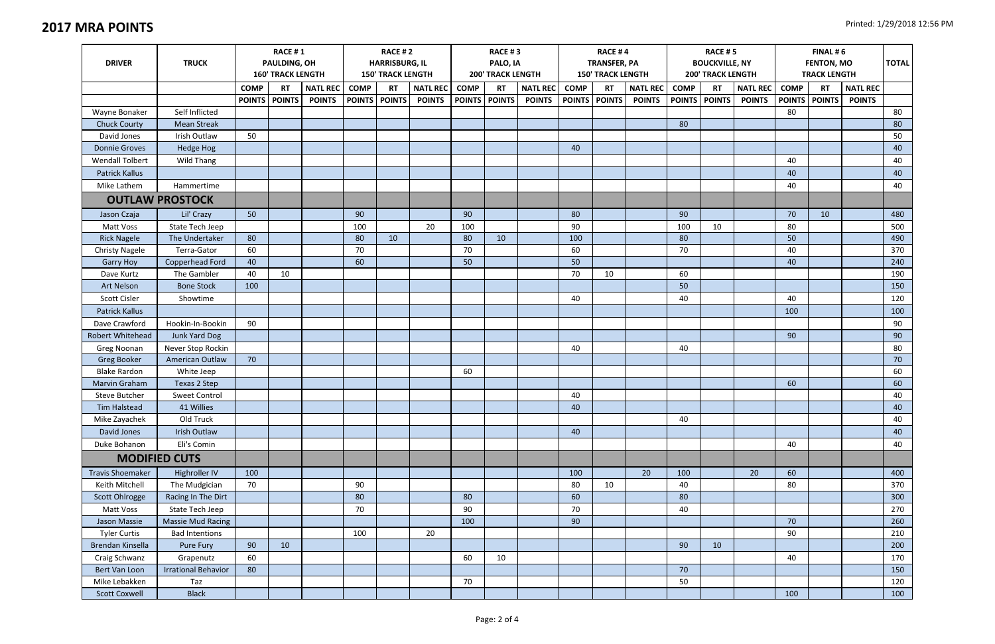|                               | <b>RACE #1</b><br><b>RACE #2</b> |                          |               |                 |                          |                 |                 | RACE #3                  |               |                 | RACE #4                  |                     |                 | <b>RACE #5</b>           |                       |                 |                     |               |                 |              |
|-------------------------------|----------------------------------|--------------------------|---------------|-----------------|--------------------------|-----------------|-----------------|--------------------------|---------------|-----------------|--------------------------|---------------------|-----------------|--------------------------|-----------------------|-----------------|---------------------|---------------|-----------------|--------------|
| <b>TRUCK</b><br><b>DRIVER</b> |                                  | PAULDING, OH             |               |                 | <b>HARRISBURG, IL</b>    |                 |                 | PALO, IA                 |               |                 |                          | <b>TRANSFER, PA</b> |                 |                          | <b>BOUCKVILLE, NY</b> |                 | <b>FENTON, MO</b>   |               |                 | <b>TOTAL</b> |
|                               |                                  | <b>160' TRACK LENGTH</b> |               |                 | <b>150' TRACK LENGTH</b> |                 |                 | <b>200' TRACK LENGTH</b> |               |                 | <b>150' TRACK LENGTH</b> |                     |                 | <b>200' TRACK LENGTH</b> |                       |                 | <b>TRACK LENGTH</b> |               |                 |              |
|                               |                                  | <b>COMP</b>              | <b>RT</b>     | <b>NATL REC</b> | <b>COMP</b>              | <b>RT</b>       | <b>NATL REC</b> | <b>COMP</b>              | <b>RT</b>     | <b>NATL REC</b> | <b>COMP</b>              | <b>RT</b>           | <b>NATL REC</b> | <b>COMP</b>              | <b>RT</b>             | <b>NATL REC</b> | <b>COMP</b>         | <b>RT</b>     | <b>NATL REC</b> |              |
|                               |                                  | <b>POINTS</b>            | <b>POINTS</b> | <b>POINTS</b>   |                          | POINTS   POINTS | <b>POINTS</b>   | <b>POINTS</b>            | <b>POINTS</b> | <b>POINTS</b>   | <b>POINTS</b>            | <b>POINTS</b>       | <b>POINTS</b>   | <b>POINTS</b>            | <b>POINTS</b>         | <b>POINTS</b>   | <b>POINTS</b>       | <b>POINTS</b> | <b>POINTS</b>   |              |
| Wayne Bonaker                 | Self Inflicted                   |                          |               |                 |                          |                 |                 |                          |               |                 |                          |                     |                 |                          |                       |                 | 80                  |               |                 | 80           |
| <b>Chuck Courty</b>           | <b>Mean Streak</b>               |                          |               |                 |                          |                 |                 |                          |               |                 |                          |                     |                 | 80                       |                       |                 |                     |               |                 | 80           |
| David Jones                   | Irish Outlaw                     | 50                       |               |                 |                          |                 |                 |                          |               |                 |                          |                     |                 |                          |                       |                 |                     |               |                 | 50           |
| <b>Donnie Groves</b>          | <b>Hedge Hog</b>                 |                          |               |                 |                          |                 |                 |                          |               |                 | 40                       |                     |                 |                          |                       |                 |                     |               |                 | 40           |
| <b>Wendall Tolbert</b>        | <b>Wild Thang</b>                |                          |               |                 |                          |                 |                 |                          |               |                 |                          |                     |                 |                          |                       |                 | 40                  |               |                 | 40           |
| <b>Patrick Kallus</b>         |                                  |                          |               |                 |                          |                 |                 |                          |               |                 |                          |                     |                 |                          |                       |                 | 40                  |               |                 | 40           |
| Mike Lathem                   | Hammertime                       |                          |               |                 |                          |                 |                 |                          |               |                 |                          |                     |                 |                          |                       |                 | 40                  |               |                 | 40           |
|                               | <b>OUTLAW PROSTOCK</b>           |                          |               |                 |                          |                 |                 |                          |               |                 |                          |                     |                 |                          |                       |                 |                     |               |                 |              |
| Jason Czaja                   | Lil' Crazy                       | 50                       |               |                 | 90                       |                 |                 | 90                       |               |                 | 80                       |                     |                 | 90                       |                       |                 | 70                  | 10            |                 | 480          |
| Matt Voss                     | State Tech Jeep                  |                          |               |                 | 100                      |                 | 20              | 100                      |               |                 | 90                       |                     |                 | 100                      | 10                    |                 | 80                  |               |                 | 500          |
| <b>Rick Nagele</b>            | The Undertaker                   | 80                       |               |                 | 80                       | 10              |                 | 80                       | 10            |                 | 100                      |                     |                 | 80                       |                       |                 | 50                  |               |                 | 490          |
| <b>Christy Nagele</b>         | Terra-Gator                      | 60                       |               |                 | 70                       |                 |                 | 70                       |               |                 | 60                       |                     |                 | 70                       |                       |                 | 40                  |               |                 | 370          |
| <b>Garry Hoy</b>              | Copperhead Ford                  | 40                       |               |                 | 60                       |                 |                 | 50                       |               |                 | 50                       |                     |                 |                          |                       |                 | 40                  |               |                 | 240          |
| Dave Kurtz                    | The Gambler                      | 40                       | 10            |                 |                          |                 |                 |                          |               |                 | 70                       | 10                  |                 | 60                       |                       |                 |                     |               |                 | 190          |
| <b>Art Nelson</b>             | <b>Bone Stock</b>                | 100                      |               |                 |                          |                 |                 |                          |               |                 |                          |                     |                 | 50                       |                       |                 |                     |               |                 | 150          |
| Scott Cisler                  | Showtime                         |                          |               |                 |                          |                 |                 |                          |               |                 | 40                       |                     |                 | 40                       |                       |                 | 40                  |               |                 | 120          |
| <b>Patrick Kallus</b>         |                                  |                          |               |                 |                          |                 |                 |                          |               |                 |                          |                     |                 |                          |                       |                 | 100                 |               |                 | 100          |
| Dave Crawford                 | Hookin-In-Bookin                 | 90                       |               |                 |                          |                 |                 |                          |               |                 |                          |                     |                 |                          |                       |                 |                     |               |                 | 90           |
| Robert Whitehead              | Junk Yard Dog                    |                          |               |                 |                          |                 |                 |                          |               |                 |                          |                     |                 |                          |                       |                 | 90                  |               |                 | 90           |
| Greg Noonan                   | Never Stop Rockin                |                          |               |                 |                          |                 |                 |                          |               |                 | 40                       |                     |                 | 40                       |                       |                 |                     |               |                 | 80           |
| Greg Booker                   | American Outlaw                  | 70                       |               |                 |                          |                 |                 |                          |               |                 |                          |                     |                 |                          |                       |                 |                     |               |                 | 70           |
| <b>Blake Rardon</b>           | White Jeep                       |                          |               |                 |                          |                 |                 | 60                       |               |                 |                          |                     |                 |                          |                       |                 |                     |               |                 | 60           |
| Marvin Graham                 | Texas 2 Step                     |                          |               |                 |                          |                 |                 |                          |               |                 |                          |                     |                 |                          |                       |                 | 60                  |               |                 | 60           |
| <b>Steve Butcher</b>          | <b>Sweet Control</b>             |                          |               |                 |                          |                 |                 |                          |               |                 | 40                       |                     |                 |                          |                       |                 |                     |               |                 | 40           |
| Tim Halstead                  | 41 Willies                       |                          |               |                 |                          |                 |                 |                          |               |                 | 40                       |                     |                 |                          |                       |                 |                     |               |                 | 40           |
| Mike Zayachek                 | Old Truck                        |                          |               |                 |                          |                 |                 |                          |               |                 |                          |                     |                 | 40                       |                       |                 |                     |               |                 | 40           |
| David Jones                   | Irish Outlaw                     |                          |               |                 |                          |                 |                 |                          |               |                 | 40                       |                     |                 |                          |                       |                 |                     |               |                 | 40           |
| Duke Bohanon                  | Eli's Comin                      |                          |               |                 |                          |                 |                 |                          |               |                 |                          |                     |                 |                          |                       |                 | 40                  |               |                 | 40           |
|                               | <b>MODIFIED CUTS</b>             |                          |               |                 |                          |                 |                 |                          |               |                 |                          |                     |                 |                          |                       |                 |                     |               |                 |              |
| <b>Travis Shoemaker</b>       | Highroller IV                    | 100                      |               |                 |                          |                 |                 |                          |               |                 | 100                      |                     | 20              | 100                      |                       | 20              | 60                  |               |                 | 400          |
| Keith Mitchell                | The Mudgician                    | 70                       |               |                 | 90                       |                 |                 |                          |               |                 | 80                       | 10                  |                 | 40                       |                       |                 | 80                  |               |                 | 370          |
| Scott Ohlrogge                | Racing In The Dirt               |                          |               |                 | 80                       |                 |                 | 80                       |               |                 | 60                       |                     |                 | 80                       |                       |                 |                     |               |                 | 300          |
| Matt Voss                     | State Tech Jeep                  |                          |               |                 | 70                       |                 |                 | 90                       |               |                 | 70                       |                     |                 | 40                       |                       |                 |                     |               |                 | 270          |
| Jason Massie                  | Massie Mud Racing                |                          |               |                 |                          |                 |                 | 100                      |               |                 | 90                       |                     |                 |                          |                       |                 | 70                  |               |                 | 260          |
| <b>Tyler Curtis</b>           | <b>Bad Intentions</b>            |                          |               |                 | 100                      |                 | 20              |                          |               |                 |                          |                     |                 |                          |                       |                 | 90                  |               |                 | 210          |
| Brendan Kinsella              | Pure Fury                        | 90                       | 10            |                 |                          |                 |                 |                          |               |                 |                          |                     |                 | 90                       | 10                    |                 |                     |               |                 | 200          |
| Craig Schwanz                 | Grapenutz                        | 60                       |               |                 |                          |                 |                 | 60                       | 10            |                 |                          |                     |                 |                          |                       |                 | 40                  |               |                 | 170          |
| Bert Van Loon                 | <b>Irrational Behavior</b>       | 80                       |               |                 |                          |                 |                 |                          |               |                 |                          |                     |                 | 70                       |                       |                 |                     |               |                 | 150          |
| Mike Lebakken                 | Taz                              |                          |               |                 |                          |                 |                 | 70                       |               |                 |                          |                     |                 | 50                       |                       |                 |                     |               |                 | 120          |
| <b>Scott Coxwell</b>          | <b>Black</b>                     |                          |               |                 |                          |                 |                 |                          |               |                 |                          |                     |                 |                          |                       |                 | 100                 |               |                 | 100          |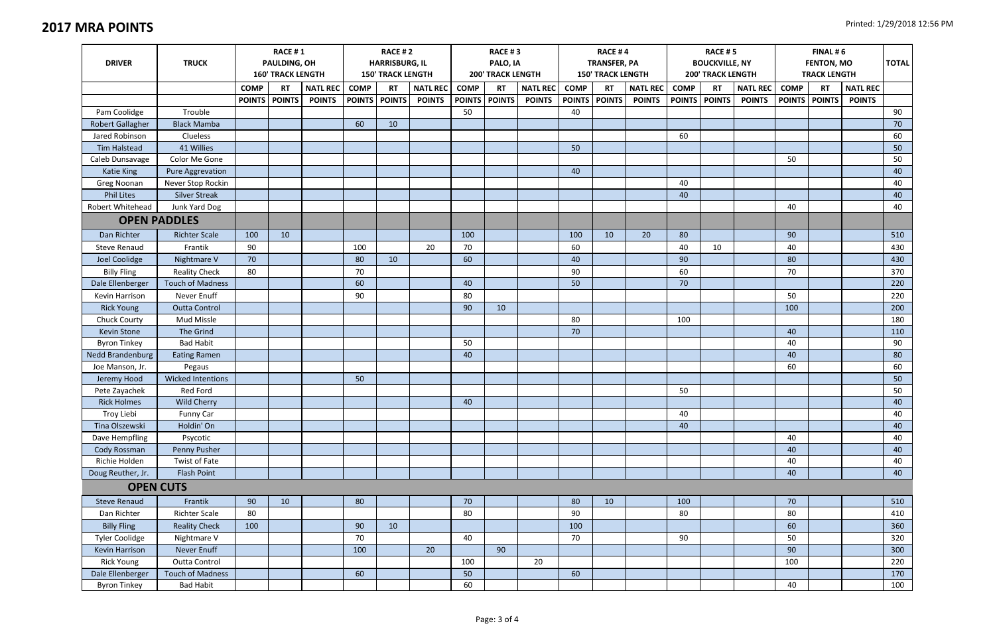| <b>DRIVER</b>           | <b>TRUCK</b>             | <b>RACE #1</b><br>PAULDING, OH<br><b>160' TRACK LENGTH</b> |                 |                 | <b>RACE #2</b><br><b>HARRISBURG, IL</b><br><b>150' TRACK LENGTH</b> |           |                 | <b>RACE #3</b><br>PALO, IA<br><b>200' TRACK LENGTH</b> |               |                 | RACE #4<br><b>TRANSFER, PA</b><br><b>150' TRACK LENGTH</b> |               |                 | <b>RACE #5</b><br><b>BOUCKVILLE, NY</b><br><b>200' TRACK LENGTH</b> |                 |                 | FINAL #6<br><b>FENTON, MO</b><br><b>TRACK LENGTH</b> |           |                 | <b>TOTAL</b> |
|-------------------------|--------------------------|------------------------------------------------------------|-----------------|-----------------|---------------------------------------------------------------------|-----------|-----------------|--------------------------------------------------------|---------------|-----------------|------------------------------------------------------------|---------------|-----------------|---------------------------------------------------------------------|-----------------|-----------------|------------------------------------------------------|-----------|-----------------|--------------|
|                         |                          | <b>COMP</b>                                                | <b>RT</b>       | <b>NATL REC</b> | <b>COMP</b>                                                         | <b>RT</b> | <b>NATL REC</b> | <b>COMP</b>                                            | <b>RT</b>     | <b>NATL REC</b> | <b>COMP</b>                                                | <b>RT</b>     | <b>NATL REC</b> | <b>COMP</b>                                                         | <b>RT</b>       | <b>NATL REC</b> | <b>COMP</b>                                          | <b>RT</b> | <b>NATL REC</b> |              |
|                         |                          |                                                            | POINTS   POINTS | <b>POINTS</b>   | <b>POINTS POINTS</b>                                                |           | <b>POINTS</b>   | <b>POINTS</b>                                          | <b>POINTS</b> | <b>POINTS</b>   |                                                            | POINTS POINTS | <b>POINTS</b>   |                                                                     | POINTS   POINTS | <b>POINTS</b>   | <b>POINTS POINTS</b>                                 |           | <b>POINTS</b>   |              |
| Pam Coolidge            | Trouble                  |                                                            |                 |                 |                                                                     |           |                 | 50                                                     |               |                 | 40                                                         |               |                 |                                                                     |                 |                 |                                                      |           |                 | 90           |
| <b>Robert Gallagher</b> | <b>Black Mamba</b>       |                                                            |                 |                 | 60                                                                  | 10        |                 |                                                        |               |                 |                                                            |               |                 |                                                                     |                 |                 |                                                      |           |                 | 70           |
| Jared Robinson          | Clueless                 |                                                            |                 |                 |                                                                     |           |                 |                                                        |               |                 |                                                            |               |                 | 60                                                                  |                 |                 |                                                      |           |                 | 60           |
| <b>Tim Halstead</b>     | 41 Willies               |                                                            |                 |                 |                                                                     |           |                 |                                                        |               |                 | 50                                                         |               |                 |                                                                     |                 |                 |                                                      |           |                 | 50           |
| Caleb Dunsavage         | Color Me Gone            |                                                            |                 |                 |                                                                     |           |                 |                                                        |               |                 |                                                            |               |                 |                                                                     |                 |                 | 50                                                   |           |                 | 50           |
| Katie King              | Pure Aggrevation         |                                                            |                 |                 |                                                                     |           |                 |                                                        |               |                 | 40                                                         |               |                 |                                                                     |                 |                 |                                                      |           |                 | 40           |
| Greg Noonan             | Never Stop Rockin        |                                                            |                 |                 |                                                                     |           |                 |                                                        |               |                 |                                                            |               |                 | 40                                                                  |                 |                 |                                                      |           |                 | 40           |
| <b>Phil Lites</b>       | <b>Silver Streak</b>     |                                                            |                 |                 |                                                                     |           |                 |                                                        |               |                 |                                                            |               |                 | 40                                                                  |                 |                 |                                                      |           |                 | 40           |
| Robert Whitehead        | Junk Yard Dog            |                                                            |                 |                 |                                                                     |           |                 |                                                        |               |                 |                                                            |               |                 |                                                                     |                 |                 | 40                                                   |           |                 | 40           |
|                         | <b>OPEN PADDLES</b>      |                                                            |                 |                 |                                                                     |           |                 |                                                        |               |                 |                                                            |               |                 |                                                                     |                 |                 |                                                      |           |                 |              |
| Dan Richter             | <b>Richter Scale</b>     | 100                                                        | 10              |                 |                                                                     |           |                 | 100                                                    |               |                 | 100                                                        | 10            | 20              | 80                                                                  |                 |                 | 90                                                   |           |                 | 510          |
| Steve Renaud            | Frantik                  | 90                                                         |                 |                 | 100                                                                 |           | 20              | 70                                                     |               |                 | 60                                                         |               |                 | 40                                                                  | 10              |                 | 40                                                   |           |                 | 430          |
| Joel Coolidge           | Nightmare V              | 70                                                         |                 |                 | 80                                                                  | 10        |                 | 60                                                     |               |                 | 40                                                         |               |                 | 90                                                                  |                 |                 | 80                                                   |           |                 | 430          |
| <b>Billy Fling</b>      | <b>Reality Check</b>     | 80                                                         |                 |                 | 70                                                                  |           |                 |                                                        |               |                 | 90                                                         |               |                 | 60                                                                  |                 |                 | 70                                                   |           |                 | 370          |
| Dale Ellenberger        | <b>Touch of Madness</b>  |                                                            |                 |                 | 60                                                                  |           |                 | 40                                                     |               |                 | 50                                                         |               |                 | 70                                                                  |                 |                 |                                                      |           |                 | 220          |
| Kevin Harrison          | Never Enuff              |                                                            |                 |                 | 90                                                                  |           |                 | 80                                                     |               |                 |                                                            |               |                 |                                                                     |                 |                 | 50                                                   |           |                 | 220          |
| <b>Rick Young</b>       | <b>Outta Control</b>     |                                                            |                 |                 |                                                                     |           |                 | 90                                                     | 10            |                 |                                                            |               |                 |                                                                     |                 |                 | 100                                                  |           |                 | 200          |
| Chuck Courty            | <b>Mud Missle</b>        |                                                            |                 |                 |                                                                     |           |                 |                                                        |               |                 | 80                                                         |               |                 | 100                                                                 |                 |                 |                                                      |           |                 | 180          |
| Kevin Stone             | The Grind                |                                                            |                 |                 |                                                                     |           |                 |                                                        |               |                 | 70                                                         |               |                 |                                                                     |                 |                 | 40                                                   |           |                 | 110          |
| <b>Byron Tinkey</b>     | <b>Bad Habit</b>         |                                                            |                 |                 |                                                                     |           |                 | 50                                                     |               |                 |                                                            |               |                 |                                                                     |                 |                 | 40                                                   |           |                 | 90           |
| Nedd Brandenburg        | <b>Eating Ramen</b>      |                                                            |                 |                 |                                                                     |           |                 | 40                                                     |               |                 |                                                            |               |                 |                                                                     |                 |                 | 40                                                   |           |                 | 80           |
| Joe Manson, Jr.         | Pegaus                   |                                                            |                 |                 |                                                                     |           |                 |                                                        |               |                 |                                                            |               |                 |                                                                     |                 |                 | 60                                                   |           |                 | 60           |
| Jeremy Hood             | <b>Wicked Intentions</b> |                                                            |                 |                 | 50                                                                  |           |                 |                                                        |               |                 |                                                            |               |                 |                                                                     |                 |                 |                                                      |           |                 | 50           |
| Pete Zayachek           | Red Ford                 |                                                            |                 |                 |                                                                     |           |                 |                                                        |               |                 |                                                            |               |                 | 50                                                                  |                 |                 |                                                      |           |                 | 50           |
| <b>Rick Holmes</b>      | <b>Wild Cherry</b>       |                                                            |                 |                 |                                                                     |           |                 | 40                                                     |               |                 |                                                            |               |                 |                                                                     |                 |                 |                                                      |           |                 | 40           |
| Troy Liebi              | Funny Car                |                                                            |                 |                 |                                                                     |           |                 |                                                        |               |                 |                                                            |               |                 | 40                                                                  |                 |                 |                                                      |           |                 | 40           |
| Tina Olszewski          | Holdin' On               |                                                            |                 |                 |                                                                     |           |                 |                                                        |               |                 |                                                            |               |                 | 40                                                                  |                 |                 |                                                      |           |                 | 40           |
| Dave Hempfling          | Psycotic                 |                                                            |                 |                 |                                                                     |           |                 |                                                        |               |                 |                                                            |               |                 |                                                                     |                 |                 | 40                                                   |           |                 | 40           |
| Cody Rossman            | Penny Pusher             |                                                            |                 |                 |                                                                     |           |                 |                                                        |               |                 |                                                            |               |                 |                                                                     |                 |                 | 40                                                   |           |                 | 40           |
| Richie Holden           | Twist of Fate            |                                                            |                 |                 |                                                                     |           |                 |                                                        |               |                 |                                                            |               |                 |                                                                     |                 |                 | 40                                                   |           |                 | 40           |
| Doug Reuther, Jr.       | Flash Point              |                                                            |                 |                 |                                                                     |           |                 |                                                        |               |                 |                                                            |               |                 |                                                                     |                 |                 | 40                                                   |           |                 | 40           |
|                         | <b>OPEN CUTS</b>         |                                                            |                 |                 |                                                                     |           |                 |                                                        |               |                 |                                                            |               |                 |                                                                     |                 |                 |                                                      |           |                 |              |
| <b>Steve Renaud</b>     | Frantik                  | 90                                                         | 10              |                 | 80                                                                  |           |                 | 70                                                     |               |                 | 80                                                         | 10            |                 | 100                                                                 |                 |                 | 70                                                   |           |                 | 510          |
| Dan Richter             | <b>Richter Scale</b>     | 80                                                         |                 |                 |                                                                     |           |                 | 80                                                     |               |                 | 90                                                         |               |                 | 80                                                                  |                 |                 | 80                                                   |           |                 | 410          |
| <b>Billy Fling</b>      | <b>Reality Check</b>     | 100                                                        |                 |                 | 90                                                                  | 10        |                 |                                                        |               |                 | 100                                                        |               |                 |                                                                     |                 |                 | 60                                                   |           |                 | 360          |
| <b>Tyler Coolidge</b>   | Nightmare V              |                                                            |                 |                 | 70                                                                  |           |                 | 40                                                     |               |                 | 70                                                         |               |                 | 90                                                                  |                 |                 | 50                                                   |           |                 | 320          |
| Kevin Harrison          | Never Enuff              |                                                            |                 |                 | 100                                                                 |           | 20              |                                                        | 90            |                 |                                                            |               |                 |                                                                     |                 |                 | 90                                                   |           |                 | 300          |
| <b>Rick Young</b>       | Outta Control            |                                                            |                 |                 |                                                                     |           |                 | 100                                                    |               | 20              |                                                            |               |                 |                                                                     |                 |                 | 100                                                  |           |                 | 220          |
| Dale Ellenberger        | <b>Touch of Madness</b>  |                                                            |                 |                 | 60                                                                  |           |                 | 50                                                     |               |                 | 60                                                         |               |                 |                                                                     |                 |                 |                                                      |           |                 | 170          |
| <b>Byron Tinkey</b>     | <b>Bad Habit</b>         |                                                            |                 |                 |                                                                     |           |                 | 60                                                     |               |                 |                                                            |               |                 |                                                                     |                 |                 | 40                                                   |           |                 | 100          |